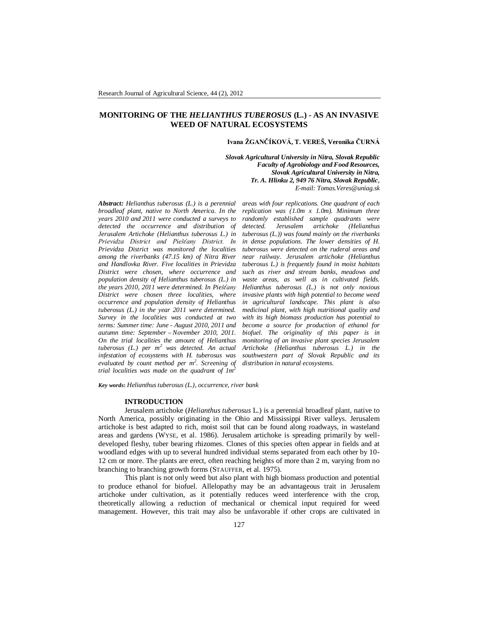# **MONITORING OF THE** *HELIANTHUS TUBEROSUS* **(L.) - AS AN INVASIVE WEED OF NATURAL ECOSYSTEMS**

## **Ivana ŽGANČÍKOVÁ, T. VEREŠ, Veronika ČURNÁ**

*Slovak Agricultural University in Nitra, Slovak Republic Faculty of Agrobiology and Food Resources, Slovak Agricultural University in Nitra, Tr. A. Hlinku 2, 949 76 Nitra, Slovak Republic, E-mail: Tomas.Veres@uniag.sk*

*Abstract: Helianthus tuberosus (L.) is a perennial broadleaf plant, native to North America. In the years 2010 and 2011 were conducted a surveys to detected the occurrence and distribution of Jerusalem Artichoke (Helianthus tuberosus L.) in Prievidza District and Piešťany District. In Prievidza District was monitored the localities among the riverbanks (47.15 km) of Nitra River and Handlovka River. Five localities in Prievidza District were chosen, where occurrence and population density of Helianthus tuberosus (L.) in the years 2010, 2011 were determined. In Piešťany District were chosen three localities, where occurrence and population density of Helianthus tuberosus (L.) in the year 2011 were determined. Survey in the localities was conducted at two terms: Summer time: June - August 2010, 2011 and autumn time: September – November 2010, 2011. On the trial localities the amount of Helianthus tuberosus (L.) per m<sup>2</sup> was detected. An actual infestation of ecosystems with H. tuberosus was evaluated by count method per m<sup>2</sup> . Screening of trial localities was made on the quadrant of 1m<sup>2</sup>*

*areas with four replications. One quadrant of each replication was (1.0m x 1.0m). Minimum three randomly established sample quadrants were detected. Jerusalem artichoke (Helianthus tuberosus (L.)) was found mainly on the riverbanks in dense populations. The lower densities of H. tuberosus were detected on the ruderal areas and near railway. Jerusalem artichoke (Helianthus tuberosus L.) is frequently found in moist habitats such as river and stream banks, meadows and waste areas, as well as in cultivated fields. Helianthus tuberosus (L.) is not only noxious invasive plants with high potential to become weed in agricultural landscape. This plant is also medicinal plant, with high nutritional quality and with its high biomass production has potential to become a source for production of ethanol for biofuel. The originality of this paper is in monitoring of an invasive plant species Jerusalem Artichoke (Helianthus tuberosus L.) in the southwestern part of Slovak Republic and its distribution in natural ecosystems.*

*Key words***:** *Helianthus tuberosus (L.), occurrence, river bank*

## **INTRODUCTION**

Jerusalem artichoke (*Helianthus tuberosus* L.) is a perennial broadleaf plant, native to North America, possibly originating in the Ohio and Mississippi River valleys. Jerusalem artichoke is best adapted to rich, moist soil that can be found along roadways, in wasteland areas and gardens (WYSE, et al. 1986). Jerusalem artichoke is spreading primarily by welldeveloped fleshy, tuber bearing rhizomes. Clones of this species often appear in fields and at woodland edges with up to several hundred individual stems separated from each other by 10- 12 cm or more. The plants are erect, often reaching heights of more than 2 m, varying from no branching to branching growth forms (STAUFFER, et al. 1975).

This plant is not only weed but also plant with high biomass production and potential to produce ethanol for biofuel. Allelopathy may be an advantageous trait in Jerusalem artichoke under cultivation, as it potentially reduces weed interference with the crop, theoretically allowing a reduction of mechanical or chemical input required for weed management. However, this trait may also be unfavorable if other crops are cultivated in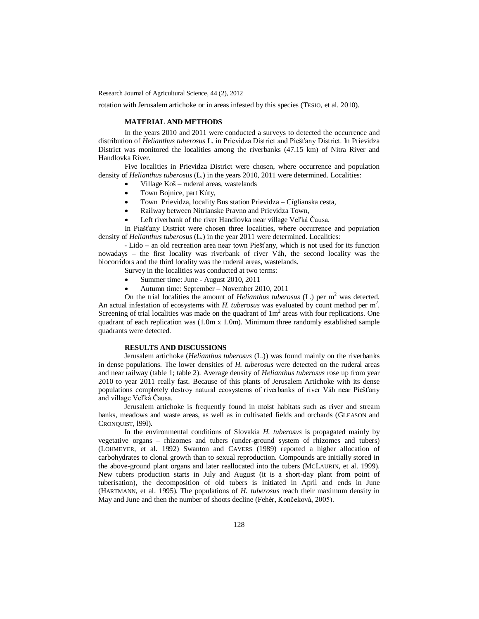rotation with Jerusalem artichoke or in areas infested by this species (TESIO, et al. 2010).

### **MATERIAL AND METHODS**

In the years 2010 and 2011 were conducted a surveys to detected the occurrence and distribution of *Helianthus tuberosus* L. in Prievidza District and Piešťany District. In Prievidza District was monitored the localities among the riverbanks (47.15 km) of Nitra River and Handlovka River.

Five localities in Prievidza District were chosen, where occurrence and population density of *Helianthus tuberosus* (L.) in the years 2010, 2011 were determined. Localities:

- Village Koš ruderal areas, wastelands
- Town Bojnice, part Kúty,
- Town Prievidza, locality Bus station Prievidza Cíglianska cesta,
- Railway between Nitrianske Pravno and Prievidza Town,
- Left riverbank of the river Handlovka near village Veľká Čausa.

In Piašťany District were chosen three localities, where occurrence and population density of *Helianthus tuberosus* (L.) in the year 2011 were determined. Localities:

- Lido – an old recreation area near town Piešťany, which is not used for its function nowadays – the first locality was riverbank of river Váh, the second locality was the biocorridors and the third locality was the ruderal areas, wastelands.

- Survey in the localities was conducted at two terms:
	- Summer time: June August 2010, 2011
	- Autumn time: September November 2010, 2011

On the trial localities the amount of *Helianthus tuberosus* (L.) per  $m^2$  was detected. An actual infestation of ecosystems with  $H$ . tuberosus was evaluated by count method per  $m^2$ . Screening of trial localities was made on the quadrant of  $1m<sup>2</sup>$  areas with four replications. One quadrant of each replication was  $(1.0m \times 1.0m)$ . Minimum three randomly established sample quadrants were detected.

## **RESULTS AND DISCUSSIONS**

Jerusalem artichoke (*Helianthus tuberosus* (L.)) was found mainly on the riverbanks in dense populations. The lower densities of *H. tuberosus* were detected on the ruderal areas and near railway (table 1; table 2). Average density of *Helianthus tuberosus* rose up from year 2010 to year 2011 really fast. Because of this plants of Jerusalem Artichoke with its dense populations completely destroy natural ecosystems of riverbanks of river Váh near Piešťany and village Veľká Čausa.

Jerusalem artichoke is frequently found in moist habitats such as river and stream banks, meadows and waste areas, as well as in cultivated fields and orchards (GLEASON and CRONQUIST, l99l).

In the environmental conditions of Slovakia *H. tuberosus* is propagated mainly by vegetative organs – rhizomes and tubers (under-ground system of rhizomes and tubers) (LOHMEYER, et al. 1992) Swanton and CAVERS (1989) reported a higher allocation of carbohydrates to clonal growth than to sexual reproduction. Compounds are initially stored in the above-ground plant organs and later reallocated into the tubers (MCLAURIN, et al. 1999). New tubers production starts in July and August (it is a short-day plant from point of tuberisation), the decomposition of old tubers is initiated in April and ends in June (HARTMANN, et al. 1995). The populations of *H. tuberosus* reach their maximum density in May and June and then the number of shoots decline (Fehér, Končeková, 2005).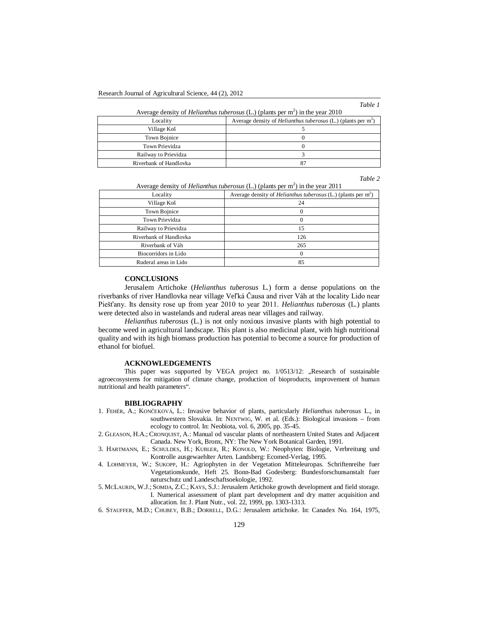*Table 1*

)

| Average density of <i>Helianthus tuberosus</i> (L.) (plants per $m2$ ) in the year 2010 |                                                                      |
|-----------------------------------------------------------------------------------------|----------------------------------------------------------------------|
| Locality                                                                                | Average density of <i>Helianthus tuberosus</i> (L.) (plants per $m2$ |
| Village Koš                                                                             |                                                                      |
| Town Bojnice                                                                            |                                                                      |
| Town Prievidza                                                                          |                                                                      |

*Table 2*

| Average density of <i>Helianthus tuberosus</i> (L.) (plants per $m2$ ) in the year 2011 |  |
|-----------------------------------------------------------------------------------------|--|
| Average density of <i>Helianthus tuberosus</i> (L.) (plants per $m2$ )                  |  |
| 24                                                                                      |  |
| 0                                                                                       |  |
| 0                                                                                       |  |
| 15                                                                                      |  |
| 126                                                                                     |  |
| 265                                                                                     |  |
| 0                                                                                       |  |
| 85                                                                                      |  |
|                                                                                         |  |

 $A \sim \text{CUT}$   $A \sim \text{CUT}$  (Let  $\text{CUT}$  be  $\text{CUT}$  and  $\text{CUT}$  and  $\text{CUT}$  and  $\text{CUT}$  and  $\text{CUT}$  and  $\text{CUT}$  and  $\text{CUT}$  and  $\text{CUT}$  and  $\text{CUT}$  and  $\text{CUT}$  and  $\text{CUT}$  and  $\text{CUT}$  and  $\text{CUT}$  and  $\text{CUT}$  an

Railway to Prievidza 3 Riverbank of Handlovka 87

## **CONCLUSIONS**

Jerusalem Artichoke (*Helianthus tuberosus* L.) form a dense populations on the riverbanks of river Handlovka near village Veľká Čausa and river Váh at the locality Lido near Piešťany. Its density rose up from year 2010 to year 2011. *Helianthus tuberosus* (L.) plants were detected also in wastelands and ruderal areas near villages and railway.

*Helianthus tuberosus* (L.) is not only noxious invasive plants with high potential to become weed in agricultural landscape. This plant is also medicinal plant, with high nutritional quality and with its high biomass production has potential to become a source for production of ethanol for biofuel.

#### **ACKNOWLEDGEMENTS**

This paper was supported by VEGA project no. 1/0513/12: "Research of sustainable agroecosystems for mitigation of climate change, production of bioproducts, improvement of human nutritional and health parameters".

#### **BIBLIOGRAPHY**

- 1. FEHÉR, A.; KONČEKOVÁ, L.: Invasive behavior of plants, particularly *Helianthus tuberosus* L., in southwestern Slovakia. In: NENTWIG, W. et al. (Eds.): Biological invasions – from ecology to control. In: Neobiota, vol. 6, 2005, pp. 35-45.
- 2. GLEASON, H.A.; CRONQUIST, A.: Manual od vascular plants of northeastern United States and Adjacent Canada. New York, Bronx, NY: The New York Botanical Garden, 1991.
- 3. HARTMANN, E.; SCHULDES, H.; KUBLER, R.; KONOLD, W.: Neophyten: Biologie, Verbreitung und Kontrolle ausgewaehlter Arten. Landsberg: Ecomed-Verlag, 1995.
- 4. LOHMEYER, W.; SUKOPP, H.: Agriophyten in der Vegetation Mitteleuropas. Schriftenreihe fuer Vegetationskunde, Heft 25. Bonn-Bad Godesberg: Bundesforschunsanstalt fuer naturschutz und Landeschaftsoekologie, 1992.
- 5. MCLAURIN, W.J.; SOMDA, Z.C.; KAYS, S.J.: Jerusalem Artichoke growth development and field storage. I. Numerical assessment of plant part development and dry matter acquisition and allocation. In: J. Plant Nutr., vol. 22, 1999, pp. 1303-1313.
- 6. STAUFFER, M.D.; CHUBEY, B.B.; DORRELL, D.G.: Jerusalem artichoke. In: Canadex No. 164, 1975,